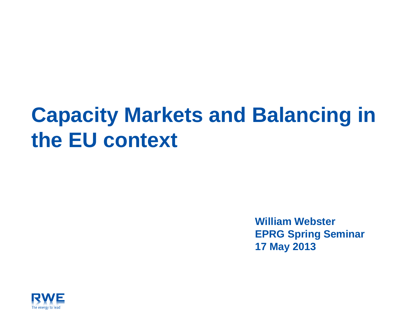# **Capacity Markets and Balancing in the EU context**

**William Webster EPRG Spring Seminar 17 May 2013**

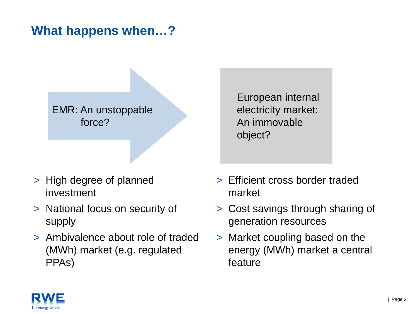# **What happens when…?**

#### EMR: An unstoppable force?

- > High degree of planned investment
- > National focus on security of supply
- > Ambivalence about role of traded (MWh) market (e.g. regulated PPAs)

European internal electricity market: An immovable object?

- > Efficient cross border traded market
- > Cost savings through sharing of generation resources
- > Market coupling based on the energy (MWh) market a central feature

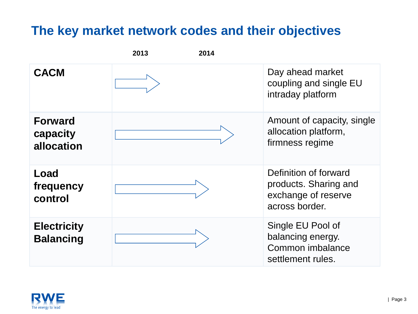# **The key market network codes and their objectives**

| 2013<br>2014                             |  |                                                                                         |
|------------------------------------------|--|-----------------------------------------------------------------------------------------|
| <b>CACM</b>                              |  | Day ahead market<br>coupling and single EU<br>intraday platform                         |
| <b>Forward</b><br>capacity<br>allocation |  | Amount of capacity, single<br>allocation platform,<br>firmness regime                   |
| Load<br>frequency<br>control             |  | Definition of forward<br>products. Sharing and<br>exchange of reserve<br>across border. |
| <b>Electricity</b><br><b>Balancing</b>   |  | Single EU Pool of<br>balancing energy.<br>Common imbalance<br>settlement rules.         |

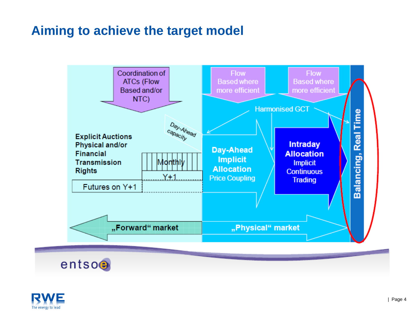# **Aiming to achieve the target model**





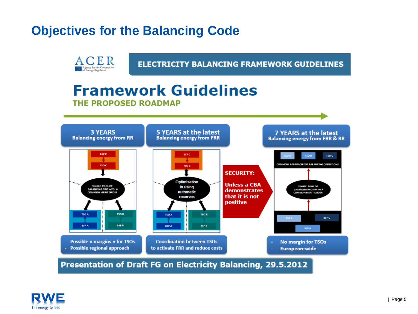# **Objectives for the Balancing Code**

**ACER** 

Agency for the Cooperation

**ELECTRICITY BALANCING FRAMEWORK GUIDELINES** 

#### **Framework Guidelines THE PROPOSED ROADMAP**



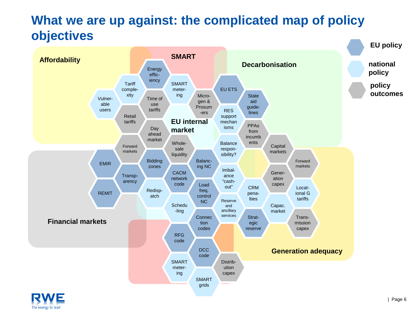# **What we are up against: the complicated map of policy objectives**

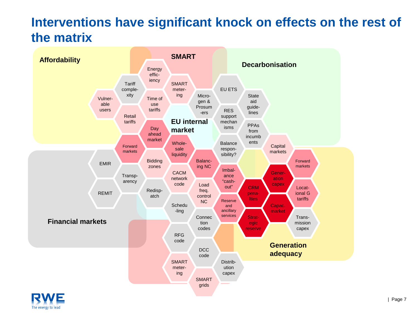# **Interventions have significant knock on effects on the rest of the matrix**



The energy to lead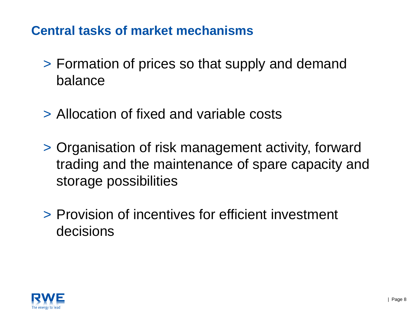# **Central tasks of market mechanisms**

- > Formation of prices so that supply and demand balance
- > Allocation of fixed and variable costs
- > Organisation of risk management activity, forward trading and the maintenance of spare capacity and storage possibilities
- > Provision of incentives for efficient investment decisions

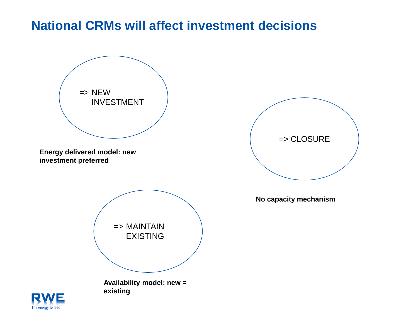### **National CRMs will affect investment decisions**



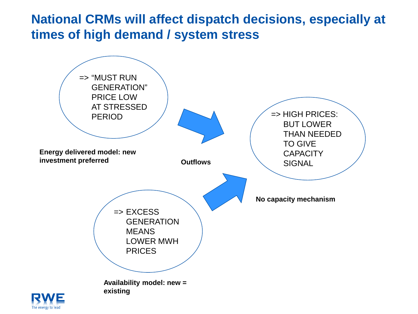# **National CRMs will affect dispatch decisions, especially at times of high demand / system stress**

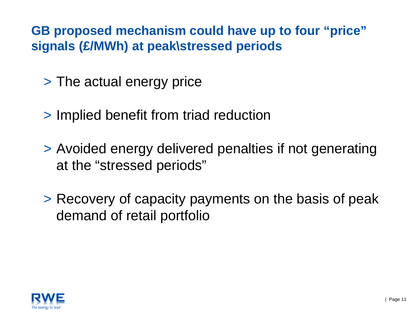**GB proposed mechanism could have up to four "price" signals (£/MWh) at peak\stressed periods**

- > The actual energy price
- > Implied benefit from triad reduction
- > Avoided energy delivered penalties if not generating at the "stressed periods"
- > Recovery of capacity payments on the basis of peak demand of retail portfolio